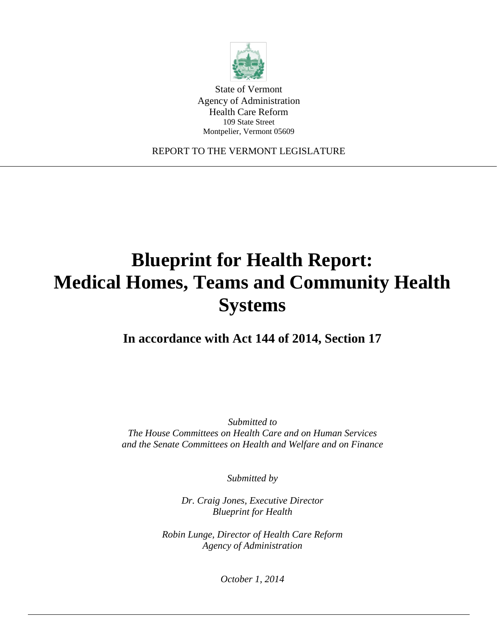

State of Vermont Agency of Administration Health Care Reform 109 State Street Montpelier, Vermont 05609

REPORT TO THE VERMONT LEGISLATURE

# **Blueprint for Health Report: Medical Homes, Teams and Community Health Systems**

**In accordance with Act 144 of 2014, Section 17**

*Submitted to The House Committees on Health Care and on Human Services and the Senate Committees on Health and Welfare and on Finance*

*Submitted by*

*Dr. Craig Jones, Executive Director Blueprint for Health*

*Robin Lunge, Director of Health Care Reform Agency of Administration*

*October 1, 2014*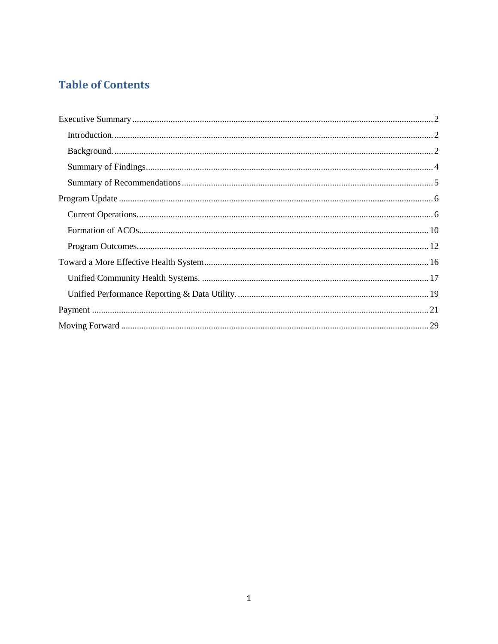## **Table of Contents**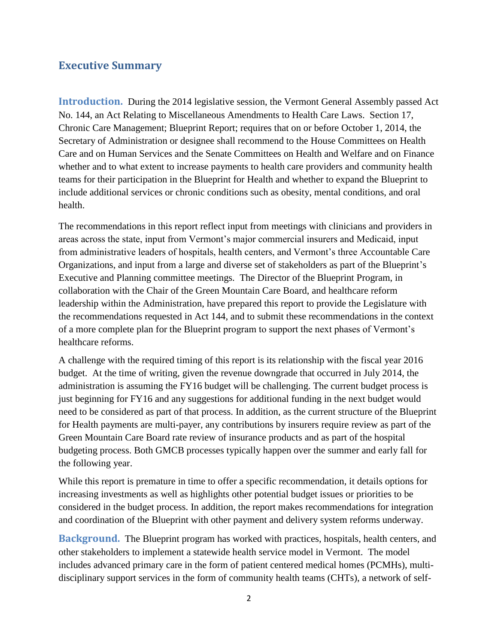## <span id="page-2-0"></span>**Executive Summary**

<span id="page-2-1"></span>**Introduction.** During the 2014 legislative session, the Vermont General Assembly passed Act No. 144, an Act Relating to Miscellaneous Amendments to Health Care Laws. Section 17, Chronic Care Management; Blueprint Report; requires that on or before October 1, 2014, the Secretary of Administration or designee shall recommend to the House Committees on Health Care and on Human Services and the Senate Committees on Health and Welfare and on Finance whether and to what extent to increase payments to health care providers and community health teams for their participation in the Blueprint for Health and whether to expand the Blueprint to include additional services or chronic conditions such as obesity, mental conditions, and oral health.

The recommendations in this report reflect input from meetings with clinicians and providers in areas across the state, input from Vermont's major commercial insurers and Medicaid, input from administrative leaders of hospitals, health centers, and Vermont's three Accountable Care Organizations, and input from a large and diverse set of stakeholders as part of the Blueprint's Executive and Planning committee meetings. The Director of the Blueprint Program, in collaboration with the Chair of the Green Mountain Care Board, and healthcare reform leadership within the Administration, have prepared this report to provide the Legislature with the recommendations requested in Act 144, and to submit these recommendations in the context of a more complete plan for the Blueprint program to support the next phases of Vermont's healthcare reforms.

A challenge with the required timing of this report is its relationship with the fiscal year 2016 budget. At the time of writing, given the revenue downgrade that occurred in July 2014, the administration is assuming the FY16 budget will be challenging. The current budget process is just beginning for FY16 and any suggestions for additional funding in the next budget would need to be considered as part of that process. In addition, as the current structure of the Blueprint for Health payments are multi-payer, any contributions by insurers require review as part of the Green Mountain Care Board rate review of insurance products and as part of the hospital budgeting process. Both GMCB processes typically happen over the summer and early fall for the following year.

While this report is premature in time to offer a specific recommendation, it details options for increasing investments as well as highlights other potential budget issues or priorities to be considered in the budget process. In addition, the report makes recommendations for integration and coordination of the Blueprint with other payment and delivery system reforms underway.

<span id="page-2-2"></span>**Background.** The Blueprint program has worked with practices, hospitals, health centers, and other stakeholders to implement a statewide health service model in Vermont. The model includes advanced primary care in the form of patient centered medical homes (PCMHs), multidisciplinary support services in the form of community health teams (CHTs), a network of self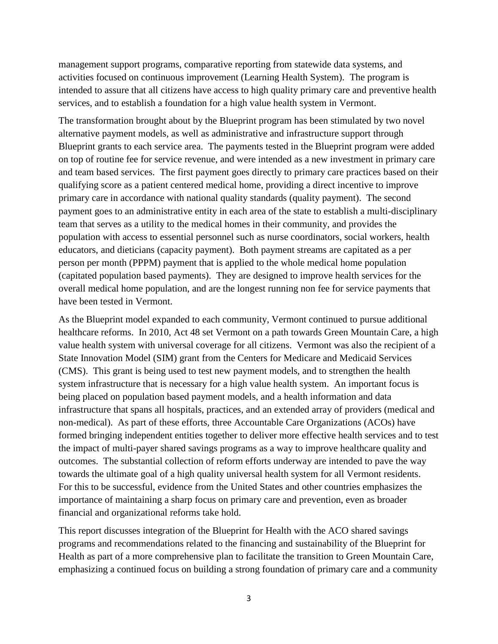management support programs, comparative reporting from statewide data systems, and activities focused on continuous improvement (Learning Health System). The program is intended to assure that all citizens have access to high quality primary care and preventive health services, and to establish a foundation for a high value health system in Vermont.

The transformation brought about by the Blueprint program has been stimulated by two novel alternative payment models, as well as administrative and infrastructure support through Blueprint grants to each service area. The payments tested in the Blueprint program were added on top of routine fee for service revenue, and were intended as a new investment in primary care and team based services. The first payment goes directly to primary care practices based on their qualifying score as a patient centered medical home, providing a direct incentive to improve primary care in accordance with national quality standards (quality payment). The second payment goes to an administrative entity in each area of the state to establish a multi-disciplinary team that serves as a utility to the medical homes in their community, and provides the population with access to essential personnel such as nurse coordinators, social workers, health educators, and dieticians (capacity payment). Both payment streams are capitated as a per person per month (PPPM) payment that is applied to the whole medical home population (capitated population based payments). They are designed to improve health services for the overall medical home population, and are the longest running non fee for service payments that have been tested in Vermont.

As the Blueprint model expanded to each community, Vermont continued to pursue additional healthcare reforms. In 2010, Act 48 set Vermont on a path towards Green Mountain Care, a high value health system with universal coverage for all citizens. Vermont was also the recipient of a State Innovation Model (SIM) grant from the Centers for Medicare and Medicaid Services (CMS). This grant is being used to test new payment models, and to strengthen the health system infrastructure that is necessary for a high value health system. An important focus is being placed on population based payment models, and a health information and data infrastructure that spans all hospitals, practices, and an extended array of providers (medical and non-medical). As part of these efforts, three Accountable Care Organizations (ACOs) have formed bringing independent entities together to deliver more effective health services and to test the impact of multi-payer shared savings programs as a way to improve healthcare quality and outcomes. The substantial collection of reform efforts underway are intended to pave the way towards the ultimate goal of a high quality universal health system for all Vermont residents. For this to be successful, evidence from the United States and other countries emphasizes the importance of maintaining a sharp focus on primary care and prevention, even as broader financial and organizational reforms take hold.

This report discusses integration of the Blueprint for Health with the ACO shared savings programs and recommendations related to the financing and sustainability of the Blueprint for Health as part of a more comprehensive plan to facilitate the transition to Green Mountain Care, emphasizing a continued focus on building a strong foundation of primary care and a community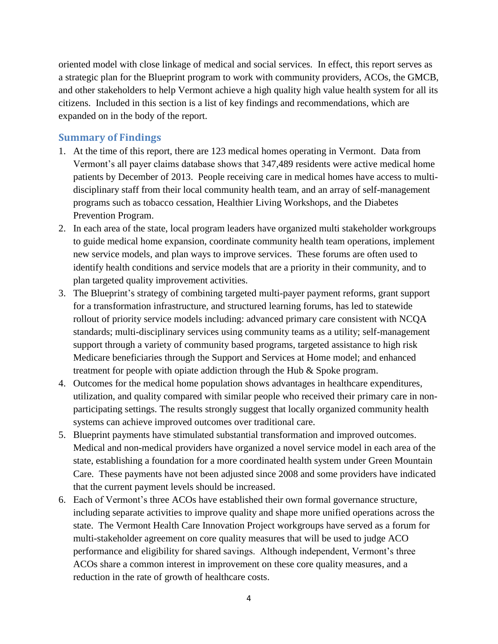oriented model with close linkage of medical and social services. In effect, this report serves as a strategic plan for the Blueprint program to work with community providers, ACOs, the GMCB, and other stakeholders to help Vermont achieve a high quality high value health system for all its citizens. Included in this section is a list of key findings and recommendations, which are expanded on in the body of the report.

## <span id="page-4-0"></span>**Summary of Findings**

- 1. At the time of this report, there are 123 medical homes operating in Vermont. Data from Vermont's all payer claims database shows that 347,489 residents were active medical home patients by December of 2013. People receiving care in medical homes have access to multidisciplinary staff from their local community health team, and an array of self-management programs such as tobacco cessation, Healthier Living Workshops, and the Diabetes Prevention Program.
- 2. In each area of the state, local program leaders have organized multi stakeholder workgroups to guide medical home expansion, coordinate community health team operations, implement new service models, and plan ways to improve services. These forums are often used to identify health conditions and service models that are a priority in their community, and to plan targeted quality improvement activities.
- 3. The Blueprint's strategy of combining targeted multi-payer payment reforms, grant support for a transformation infrastructure, and structured learning forums, has led to statewide rollout of priority service models including: advanced primary care consistent with NCQA standards; multi-disciplinary services using community teams as a utility; self-management support through a variety of community based programs, targeted assistance to high risk Medicare beneficiaries through the Support and Services at Home model; and enhanced treatment for people with opiate addiction through the Hub & Spoke program.
- 4. Outcomes for the medical home population shows advantages in healthcare expenditures, utilization, and quality compared with similar people who received their primary care in nonparticipating settings. The results strongly suggest that locally organized community health systems can achieve improved outcomes over traditional care.
- 5. Blueprint payments have stimulated substantial transformation and improved outcomes. Medical and non-medical providers have organized a novel service model in each area of the state, establishing a foundation for a more coordinated health system under Green Mountain Care. These payments have not been adjusted since 2008 and some providers have indicated that the current payment levels should be increased.
- 6. Each of Vermont's three ACOs have established their own formal governance structure, including separate activities to improve quality and shape more unified operations across the state. The Vermont Health Care Innovation Project workgroups have served as a forum for multi-stakeholder agreement on core quality measures that will be used to judge ACO performance and eligibility for shared savings. Although independent, Vermont's three ACOs share a common interest in improvement on these core quality measures, and a reduction in the rate of growth of healthcare costs.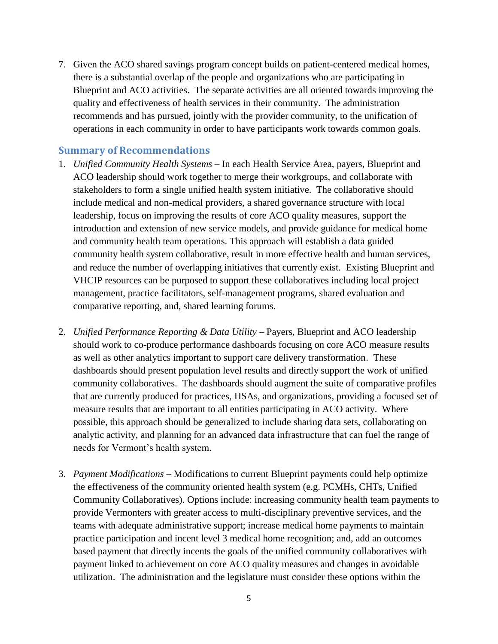7. Given the ACO shared savings program concept builds on patient-centered medical homes, there is a substantial overlap of the people and organizations who are participating in Blueprint and ACO activities. The separate activities are all oriented towards improving the quality and effectiveness of health services in their community. The administration recommends and has pursued, jointly with the provider community, to the unification of operations in each community in order to have participants work towards common goals.

## <span id="page-5-0"></span>**Summary of Recommendations**

- 1. *Unified Community Health Systems* In each Health Service Area, payers, Blueprint and ACO leadership should work together to merge their workgroups, and collaborate with stakeholders to form a single unified health system initiative. The collaborative should include medical and non-medical providers, a shared governance structure with local leadership, focus on improving the results of core ACO quality measures, support the introduction and extension of new service models, and provide guidance for medical home and community health team operations. This approach will establish a data guided community health system collaborative, result in more effective health and human services, and reduce the number of overlapping initiatives that currently exist. Existing Blueprint and VHCIP resources can be purposed to support these collaboratives including local project management, practice facilitators, self-management programs, shared evaluation and comparative reporting, and, shared learning forums.
- 2. *Unified Performance Reporting & Data Utility* Payers, Blueprint and ACO leadership should work to co-produce performance dashboards focusing on core ACO measure results as well as other analytics important to support care delivery transformation. These dashboards should present population level results and directly support the work of unified community collaboratives. The dashboards should augment the suite of comparative profiles that are currently produced for practices, HSAs, and organizations, providing a focused set of measure results that are important to all entities participating in ACO activity. Where possible, this approach should be generalized to include sharing data sets, collaborating on analytic activity, and planning for an advanced data infrastructure that can fuel the range of needs for Vermont's health system.
- 3. *Payment Modifications* Modifications to current Blueprint payments could help optimize the effectiveness of the community oriented health system (e.g. PCMHs, CHTs, Unified Community Collaboratives). Options include: increasing community health team payments to provide Vermonters with greater access to multi-disciplinary preventive services, and the teams with adequate administrative support; increase medical home payments to maintain practice participation and incent level 3 medical home recognition; and, add an outcomes based payment that directly incents the goals of the unified community collaboratives with payment linked to achievement on core ACO quality measures and changes in avoidable utilization. The administration and the legislature must consider these options within the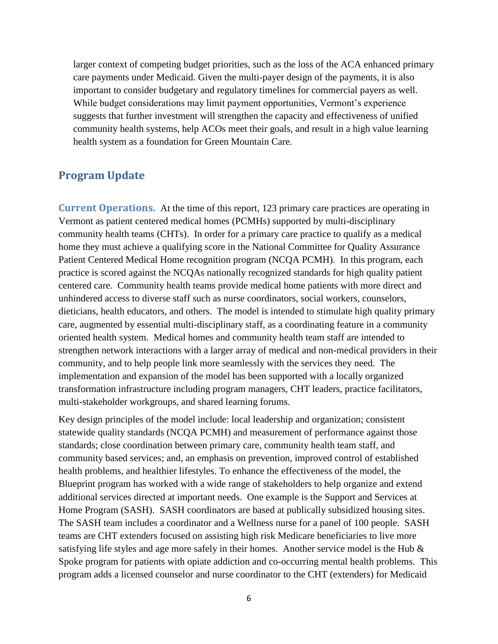larger context of competing budget priorities, such as the loss of the ACA enhanced primary care payments under Medicaid. Given the multi-payer design of the payments, it is also important to consider budgetary and regulatory timelines for commercial payers as well. While budget considerations may limit payment opportunities, Vermont's experience suggests that further investment will strengthen the capacity and effectiveness of unified community health systems, help ACOs meet their goals, and result in a high value learning health system as a foundation for Green Mountain Care.

## <span id="page-6-0"></span>**Program Update**

<span id="page-6-1"></span>**Current Operations.** At the time of this report, 123 primary care practices are operating in Vermont as patient centered medical homes (PCMHs) supported by multi-disciplinary community health teams (CHTs). In order for a primary care practice to qualify as a medical home they must achieve a qualifying score in the National Committee for Quality Assurance Patient Centered Medical Home recognition program (NCQA PCMH). In this program, each practice is scored against the NCQAs nationally recognized standards for high quality patient centered care. Community health teams provide medical home patients with more direct and unhindered access to diverse staff such as nurse coordinators, social workers, counselors, dieticians, health educators, and others. The model is intended to stimulate high quality primary care, augmented by essential multi-disciplinary staff, as a coordinating feature in a community oriented health system. Medical homes and community health team staff are intended to strengthen network interactions with a larger array of medical and non-medical providers in their community, and to help people link more seamlessly with the services they need. The implementation and expansion of the model has been supported with a locally organized transformation infrastructure including program managers, CHT leaders, practice facilitators, multi-stakeholder workgroups, and shared learning forums.

Key design principles of the model include: local leadership and organization; consistent statewide quality standards (NCQA PCMH) and measurement of performance against those standards; close coordination between primary care, community health team staff, and community based services; and, an emphasis on prevention, improved control of established health problems, and healthier lifestyles. To enhance the effectiveness of the model, the Blueprint program has worked with a wide range of stakeholders to help organize and extend additional services directed at important needs. One example is the Support and Services at Home Program (SASH). SASH coordinators are based at publically subsidized housing sites. The SASH team includes a coordinator and a Wellness nurse for a panel of 100 people. SASH teams are CHT extenders focused on assisting high risk Medicare beneficiaries to live more satisfying life styles and age more safely in their homes. Another service model is the Hub  $\&$ Spoke program for patients with opiate addiction and co-occurring mental health problems. This program adds a licensed counselor and nurse coordinator to the CHT (extenders) for Medicaid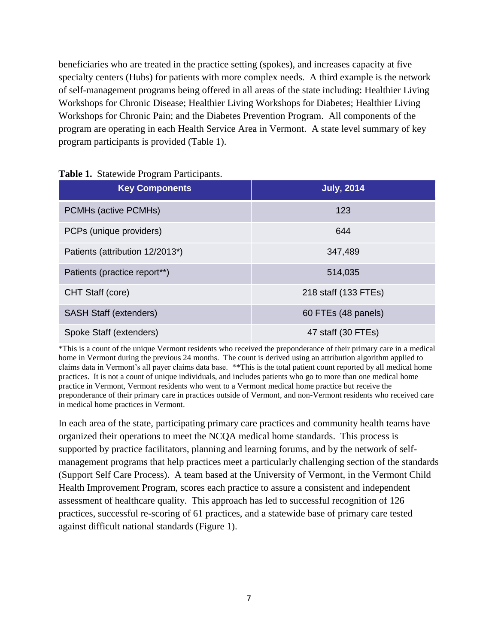beneficiaries who are treated in the practice setting (spokes), and increases capacity at five specialty centers (Hubs) for patients with more complex needs. A third example is the network of self-management programs being offered in all areas of the state including: Healthier Living Workshops for Chronic Disease; Healthier Living Workshops for Diabetes; Healthier Living Workshops for Chronic Pain; and the Diabetes Prevention Program. All components of the program are operating in each Health Service Area in Vermont. A state level summary of key program participants is provided (Table 1).

| <b>Key Components</b>           | <b>July, 2014</b>    |
|---------------------------------|----------------------|
| PCMHs (active PCMHs)            | 123                  |
| PCPs (unique providers)         | 644                  |
| Patients (attribution 12/2013*) | 347,489              |
| Patients (practice report**)    | 514,035              |
| CHT Staff (core)                | 218 staff (133 FTEs) |
| <b>SASH Staff (extenders)</b>   | 60 FTEs (48 panels)  |
| Spoke Staff (extenders)         | 47 staff (30 FTEs)   |

#### **Table 1.** Statewide Program Participants.

\*This is a count of the unique Vermont residents who received the preponderance of their primary care in a medical home in Vermont during the previous 24 months. The count is derived using an attribution algorithm applied to claims data in Vermont's all payer claims data base. \*\*This is the total patient count reported by all medical home practices. It is not a count of unique individuals, and includes patients who go to more than one medical home practice in Vermont, Vermont residents who went to a Vermont medical home practice but receive the preponderance of their primary care in practices outside of Vermont, and non-Vermont residents who received care in medical home practices in Vermont.

In each area of the state, participating primary care practices and community health teams have organized their operations to meet the NCQA medical home standards. This process is supported by practice facilitators, planning and learning forums, and by the network of selfmanagement programs that help practices meet a particularly challenging section of the standards (Support Self Care Process). A team based at the University of Vermont, in the Vermont Child Health Improvement Program, scores each practice to assure a consistent and independent assessment of healthcare quality. This approach has led to successful recognition of 126 practices, successful re-scoring of 61 practices, and a statewide base of primary care tested against difficult national standards (Figure 1).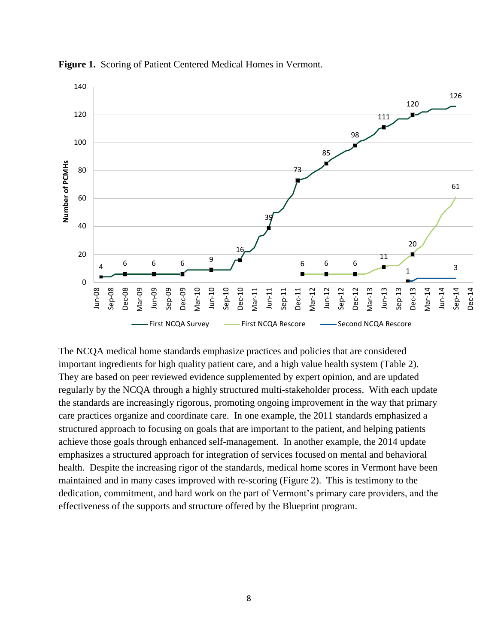

**Figure 1.** Scoring of Patient Centered Medical Homes in Vermont.

The NCQA medical home standards emphasize practices and policies that are considered important ingredients for high quality patient care, and a high value health system (Table 2). They are based on peer reviewed evidence supplemented by expert opinion, and are updated regularly by the NCQA through a highly structured multi-stakeholder process. With each update the standards are increasingly rigorous, promoting ongoing improvement in the way that primary care practices organize and coordinate care. In one example, the 2011 standards emphasized a structured approach to focusing on goals that are important to the patient, and helping patients achieve those goals through enhanced self-management. In another example, the 2014 update emphasizes a structured approach for integration of services focused on mental and behavioral health. Despite the increasing rigor of the standards, medical home scores in Vermont have been maintained and in many cases improved with re-scoring (Figure 2). This is testimony to the dedication, commitment, and hard work on the part of Vermont's primary care providers, and the effectiveness of the supports and structure offered by the Blueprint program.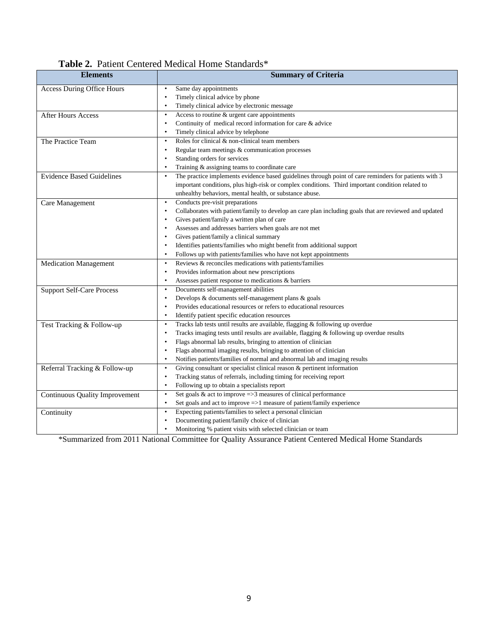| <b>Table 2.</b> Patient Centered Medical Home Standards* |  |
|----------------------------------------------------------|--|
|----------------------------------------------------------|--|

| <b>Elements</b>                       | <b>Summary of Criteria</b>                                                                             |
|---------------------------------------|--------------------------------------------------------------------------------------------------------|
| <b>Access During Office Hours</b>     | Same day appointments                                                                                  |
|                                       | Timely clinical advice by phone                                                                        |
|                                       | Timely clinical advice by electronic message                                                           |
| After Hours Access                    | Access to routine & urgent care appointments                                                           |
|                                       | Continuity of medical record information for care & advice                                             |
|                                       | Timely clinical advice by telephone                                                                    |
| The Practice Team                     | Roles for clinical $&$ non-clinical team members                                                       |
|                                       | Regular team meetings & communication processes                                                        |
|                                       | Standing orders for services                                                                           |
|                                       | Training & assigning teams to coordinate care                                                          |
| <b>Evidence Based Guidelines</b>      | The practice implements evidence based guidelines through point of care reminders for patients with 3  |
|                                       | important conditions, plus high-risk or complex conditions. Third important condition related to       |
|                                       | unhealthy behaviors, mental health, or substance abuse.                                                |
| Care Management                       | Conducts pre-visit preparations                                                                        |
|                                       | Collaborates with patient/family to develop an care plan including goals that are reviewed and updated |
|                                       | Gives patient/family a written plan of care                                                            |
|                                       | Assesses and addresses barriers when goals are not met                                                 |
|                                       | Gives patient/family a clinical summary                                                                |
|                                       | Identifies patients/families who might benefit from additional support                                 |
|                                       | Follows up with patients/families who have not kept appointments<br>$\bullet$                          |
| <b>Medication Management</b>          | Reviews & reconciles medications with patients/families                                                |
|                                       | Provides information about new prescriptions                                                           |
|                                       | Assesses patient response to medications & barriers                                                    |
| <b>Support Self-Care Process</b>      | Documents self-management abilities                                                                    |
|                                       | Develops & documents self-management plans & goals<br>$\bullet$                                        |
|                                       | Provides educational resources or refers to educational resources                                      |
|                                       | Identify patient specific education resources<br>$\bullet$                                             |
| Test Tracking & Follow-up             | Tracks lab tests until results are available, flagging & following up overdue                          |
|                                       | Tracks imaging tests until results are available, flagging & following up overdue results              |
|                                       | Flags abnormal lab results, bringing to attention of clinician                                         |
|                                       | Flags abnormal imaging results, bringing to attention of clinician                                     |
|                                       | Notifies patients/families of normal and abnormal lab and imaging results                              |
| Referral Tracking & Follow-up         | Giving consultant or specialist clinical reason & pertinent information<br>$\bullet$                   |
|                                       | Tracking status of referrals, including timing for receiving report<br>$\bullet$                       |
|                                       | Following up to obtain a specialists report                                                            |
| <b>Continuous Quality Improvement</b> | Set goals $\&$ act to improve =>3 measures of clinical performance<br>$\bullet$                        |
|                                       | Set goals and act to improve $\Rightarrow$ 1 measure of patient/family experience                      |
| Continuity                            | Expecting patients/families to select a personal clinician                                             |
|                                       | Documenting patient/family choice of clinician                                                         |
|                                       | Monitoring % patient visits with selected clinician or team                                            |

\*Summarized from 2011 National Committee for Quality Assurance Patient Centered Medical Home Standards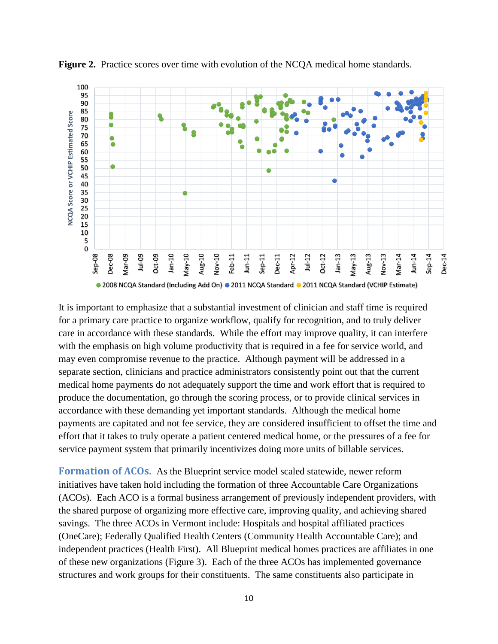

**Figure 2.** Practice scores over time with evolution of the NCQA medical home standards.

It is important to emphasize that a substantial investment of clinician and staff time is required for a primary care practice to organize workflow, qualify for recognition, and to truly deliver care in accordance with these standards. While the effort may improve quality, it can interfere with the emphasis on high volume productivity that is required in a fee for service world, and may even compromise revenue to the practice. Although payment will be addressed in a separate section, clinicians and practice administrators consistently point out that the current medical home payments do not adequately support the time and work effort that is required to produce the documentation, go through the scoring process, or to provide clinical services in accordance with these demanding yet important standards. Although the medical home payments are capitated and not fee service, they are considered insufficient to offset the time and effort that it takes to truly operate a patient centered medical home, or the pressures of a fee for service payment system that primarily incentivizes doing more units of billable services.

<span id="page-10-0"></span>**Formation of ACOs.** As the Blueprint service model scaled statewide, newer reform initiatives have taken hold including the formation of three Accountable Care Organizations (ACOs). Each ACO is a formal business arrangement of previously independent providers, with the shared purpose of organizing more effective care, improving quality, and achieving shared savings. The three ACOs in Vermont include: Hospitals and hospital affiliated practices (OneCare); Federally Qualified Health Centers (Community Health Accountable Care); and independent practices (Health First). All Blueprint medical homes practices are affiliates in one of these new organizations (Figure 3). Each of the three ACOs has implemented governance structures and work groups for their constituents. The same constituents also participate in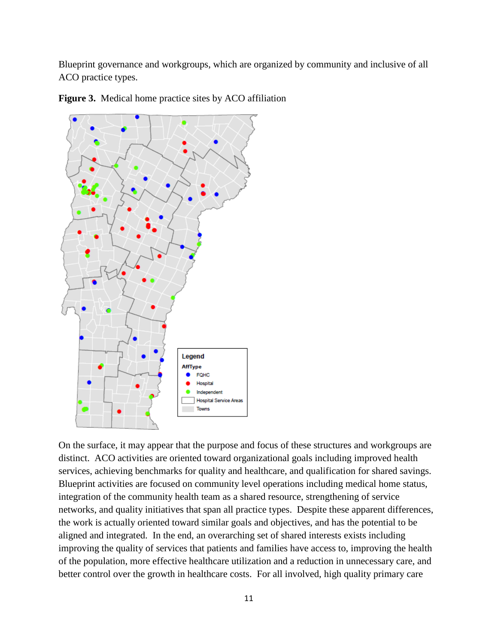Blueprint governance and workgroups, which are organized by community and inclusive of all ACO practice types.



**Figure 3.** Medical home practice sites by ACO affiliation

On the surface, it may appear that the purpose and focus of these structures and workgroups are distinct. ACO activities are oriented toward organizational goals including improved health services, achieving benchmarks for quality and healthcare, and qualification for shared savings. Blueprint activities are focused on community level operations including medical home status, integration of the community health team as a shared resource, strengthening of service networks, and quality initiatives that span all practice types. Despite these apparent differences, the work is actually oriented toward similar goals and objectives, and has the potential to be aligned and integrated. In the end, an overarching set of shared interests exists including improving the quality of services that patients and families have access to, improving the health of the population, more effective healthcare utilization and a reduction in unnecessary care, and better control over the growth in healthcare costs. For all involved, high quality primary care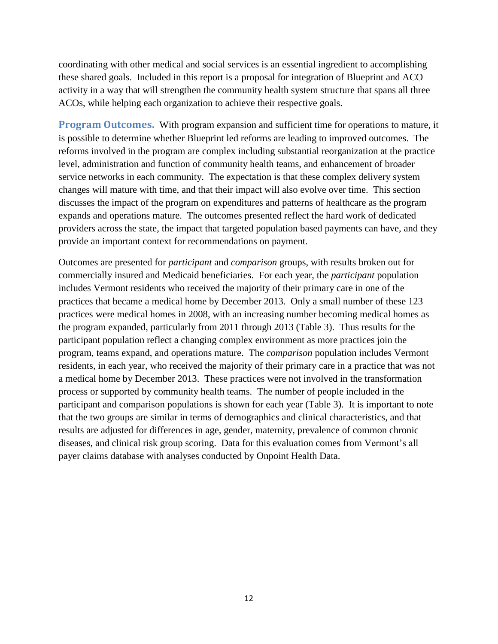coordinating with other medical and social services is an essential ingredient to accomplishing these shared goals. Included in this report is a proposal for integration of Blueprint and ACO activity in a way that will strengthen the community health system structure that spans all three ACOs, while helping each organization to achieve their respective goals.

<span id="page-12-0"></span>**Program Outcomes.** With program expansion and sufficient time for operations to mature, it is possible to determine whether Blueprint led reforms are leading to improved outcomes. The reforms involved in the program are complex including substantial reorganization at the practice level, administration and function of community health teams, and enhancement of broader service networks in each community. The expectation is that these complex delivery system changes will mature with time, and that their impact will also evolve over time. This section discusses the impact of the program on expenditures and patterns of healthcare as the program expands and operations mature. The outcomes presented reflect the hard work of dedicated providers across the state, the impact that targeted population based payments can have, and they provide an important context for recommendations on payment.

Outcomes are presented for *participant* and *comparison* groups, with results broken out for commercially insured and Medicaid beneficiaries. For each year, the *participant* population includes Vermont residents who received the majority of their primary care in one of the practices that became a medical home by December 2013. Only a small number of these 123 practices were medical homes in 2008, with an increasing number becoming medical homes as the program expanded, particularly from 2011 through 2013 (Table 3). Thus results for the participant population reflect a changing complex environment as more practices join the program, teams expand, and operations mature. The *comparison* population includes Vermont residents, in each year, who received the majority of their primary care in a practice that was not a medical home by December 2013. These practices were not involved in the transformation process or supported by community health teams. The number of people included in the participant and comparison populations is shown for each year (Table 3). It is important to note that the two groups are similar in terms of demographics and clinical characteristics, and that results are adjusted for differences in age, gender, maternity, prevalence of common chronic diseases, and clinical risk group scoring. Data for this evaluation comes from Vermont's all payer claims database with analyses conducted by Onpoint Health Data.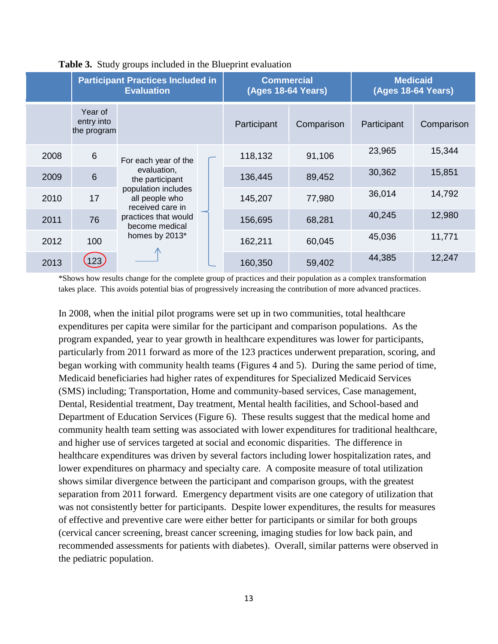|      |                                      | <b>Participant Practices Included in</b><br><b>Evaluation</b>           |                  | <b>Commercial</b><br><b>(Ages 18-64 Years)</b> |            |             | <b>Medicaid</b><br><b>(Ages 18-64 Years)</b> |
|------|--------------------------------------|-------------------------------------------------------------------------|------------------|------------------------------------------------|------------|-------------|----------------------------------------------|
|      | Year of<br>entry into<br>the program |                                                                         |                  | Participant                                    | Comparison | Participant | Comparison                                   |
| 2008 | $6\phantom{1}$                       | For each year of the                                                    |                  | 118,132                                        | 91,106     | 23,965      | 15,344                                       |
| 2009 | $6\phantom{1}$                       | evaluation,<br>the participant<br>population includes<br>all people who | 136,445          | 89,452                                         | 30,362     | 15,851      |                                              |
| 2010 | 17                                   |                                                                         | received care in | 145,207                                        | 77,980     | 36,014      | 14,792                                       |
| 2011 | 76                                   | practices that would<br>become medical                                  |                  | 156,695                                        | 68,281     | 40,245      | 12,980                                       |
| 2012 | 100                                  | homes by 2013*                                                          | 162,211          | 60,045                                         | 45,036     | 11,771      |                                              |
| 2013 | $ 23\rangle$                         |                                                                         |                  | 160,350                                        | 59,402     | 44,385      | 12,247                                       |

## **Table 3.** Study groups included in the Blueprint evaluation

\*Shows how results change for the complete group of practices and their population as a complex transformation takes place. This avoids potential bias of progressively increasing the contribution of more advanced practices.

In 2008, when the initial pilot programs were set up in two communities, total healthcare expenditures per capita were similar for the participant and comparison populations. As the program expanded, year to year growth in healthcare expenditures was lower for participants, particularly from 2011 forward as more of the 123 practices underwent preparation, scoring, and began working with community health teams (Figures 4 and 5). During the same period of time, Medicaid beneficiaries had higher rates of expenditures for Specialized Medicaid Services (SMS) including; Transportation, Home and community-based services, Case management, Dental, Residential treatment, Day treatment, Mental health facilities, and School-based and Department of Education Services (Figure 6). These results suggest that the medical home and community health team setting was associated with lower expenditures for traditional healthcare, and higher use of services targeted at social and economic disparities. The difference in healthcare expenditures was driven by several factors including lower hospitalization rates, and lower expenditures on pharmacy and specialty care. A composite measure of total utilization shows similar divergence between the participant and comparison groups, with the greatest separation from 2011 forward. Emergency department visits are one category of utilization that was not consistently better for participants. Despite lower expenditures, the results for measures of effective and preventive care were either better for participants or similar for both groups (cervical cancer screening, breast cancer screening, imaging studies for low back pain, and recommended assessments for patients with diabetes). Overall, similar patterns were observed in the pediatric population.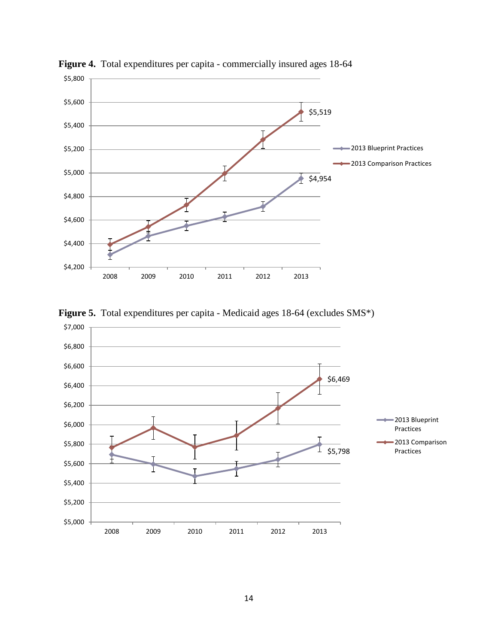

**Figure 4.** Total expenditures per capita - commercially insured ages 18-64



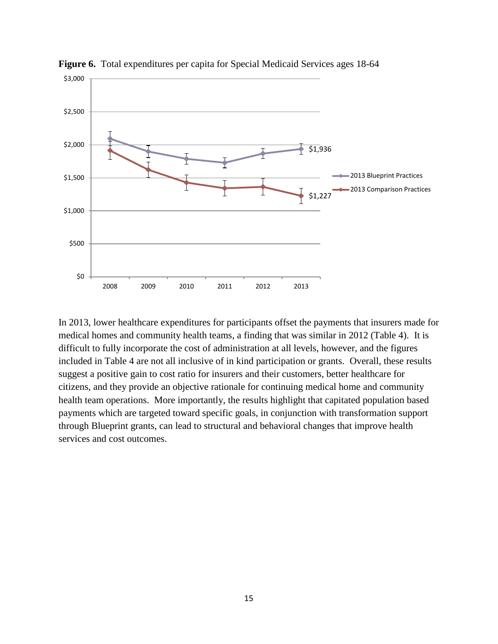

**Figure 6.** Total expenditures per capita for Special Medicaid Services ages 18-64

In 2013, lower healthcare expenditures for participants offset the payments that insurers made for medical homes and community health teams, a finding that was similar in 2012 (Table 4). It is difficult to fully incorporate the cost of administration at all levels, however, and the figures included in Table 4 are not all inclusive of in kind participation or grants. Overall, these results suggest a positive gain to cost ratio for insurers and their customers, better healthcare for citizens, and they provide an objective rationale for continuing medical home and community health team operations. More importantly, the results highlight that capitated population based payments which are targeted toward specific goals, in conjunction with transformation support through Blueprint grants, can lead to structural and behavioral changes that improve health services and cost outcomes.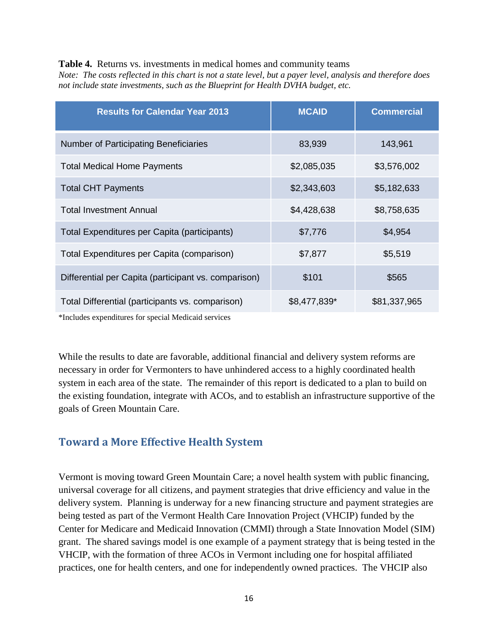#### **Table 4.** Returns vs. investments in medical homes and community teams

*Note: The costs reflected in this chart is not a state level, but a payer level, analysis and therefore does not include state investments, such as the Blueprint for Health DVHA budget, etc.*

| <b>Results for Calendar Year 2013</b>                | <b>MCAID</b> | <b>Commercial</b> |
|------------------------------------------------------|--------------|-------------------|
| Number of Participating Beneficiaries                | 83,939       | 143,961           |
| <b>Total Medical Home Payments</b>                   | \$2,085,035  | \$3,576,002       |
| <b>Total CHT Payments</b>                            | \$2,343,603  | \$5,182,633       |
| <b>Total Investment Annual</b>                       | \$4,428,638  | \$8,758,635       |
| Total Expenditures per Capita (participants)         | \$7,776      | \$4,954           |
| Total Expenditures per Capita (comparison)           | \$7,877      | \$5,519           |
| Differential per Capita (participant vs. comparison) | \$101        | \$565             |
| Total Differential (participants vs. comparison)     | \$8,477,839* | \$81,337,965      |

\*Includes expenditures for special Medicaid services

While the results to date are favorable, additional financial and delivery system reforms are necessary in order for Vermonters to have unhindered access to a highly coordinated health system in each area of the state. The remainder of this report is dedicated to a plan to build on the existing foundation, integrate with ACOs, and to establish an infrastructure supportive of the goals of Green Mountain Care.

## <span id="page-16-0"></span>**Toward a More Effective Health System**

Vermont is moving toward Green Mountain Care; a novel health system with public financing, universal coverage for all citizens, and payment strategies that drive efficiency and value in the delivery system. Planning is underway for a new financing structure and payment strategies are being tested as part of the Vermont Health Care Innovation Project (VHCIP) funded by the Center for Medicare and Medicaid Innovation (CMMI) through a State Innovation Model (SIM) grant. The shared savings model is one example of a payment strategy that is being tested in the VHCIP, with the formation of three ACOs in Vermont including one for hospital affiliated practices, one for health centers, and one for independently owned practices. The VHCIP also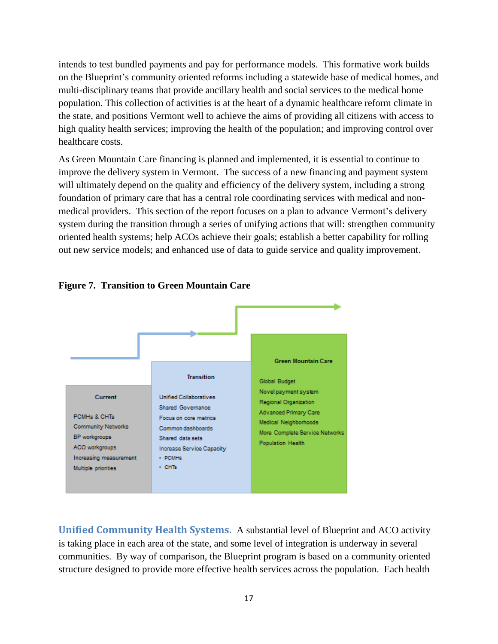intends to test bundled payments and pay for performance models. This formative work builds on the Blueprint's community oriented reforms including a statewide base of medical homes, and multi-disciplinary teams that provide ancillary health and social services to the medical home population. This collection of activities is at the heart of a dynamic healthcare reform climate in the state, and positions Vermont well to achieve the aims of providing all citizens with access to high quality health services; improving the health of the population; and improving control over healthcare costs.

As Green Mountain Care financing is planned and implemented, it is essential to continue to improve the delivery system in Vermont. The success of a new financing and payment system will ultimately depend on the quality and efficiency of the delivery system, including a strong foundation of primary care that has a central role coordinating services with medical and nonmedical providers. This section of the report focuses on a plan to advance Vermont's delivery system during the transition through a series of unifying actions that will: strengthen community oriented health systems; help ACOs achieve their goals; establish a better capability for rolling out new service models; and enhanced use of data to guide service and quality improvement.





<span id="page-17-0"></span>**Unified Community Health Systems.** A substantial level of Blueprint and ACO activity is taking place in each area of the state, and some level of integration is underway in several communities. By way of comparison, the Blueprint program is based on a community oriented structure designed to provide more effective health services across the population. Each health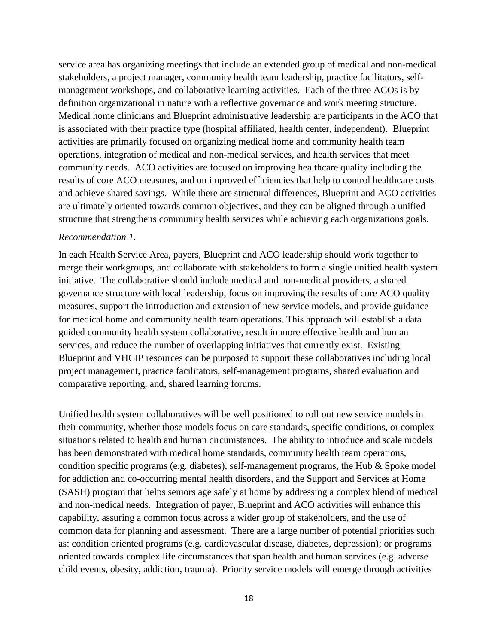service area has organizing meetings that include an extended group of medical and non-medical stakeholders, a project manager, community health team leadership, practice facilitators, selfmanagement workshops, and collaborative learning activities. Each of the three ACOs is by definition organizational in nature with a reflective governance and work meeting structure. Medical home clinicians and Blueprint administrative leadership are participants in the ACO that is associated with their practice type (hospital affiliated, health center, independent). Blueprint activities are primarily focused on organizing medical home and community health team operations, integration of medical and non-medical services, and health services that meet community needs. ACO activities are focused on improving healthcare quality including the results of core ACO measures, and on improved efficiencies that help to control healthcare costs and achieve shared savings. While there are structural differences, Blueprint and ACO activities are ultimately oriented towards common objectives, and they can be aligned through a unified structure that strengthens community health services while achieving each organizations goals.

#### *Recommendation 1.*

In each Health Service Area, payers, Blueprint and ACO leadership should work together to merge their workgroups, and collaborate with stakeholders to form a single unified health system initiative. The collaborative should include medical and non-medical providers, a shared governance structure with local leadership, focus on improving the results of core ACO quality measures, support the introduction and extension of new service models, and provide guidance for medical home and community health team operations. This approach will establish a data guided community health system collaborative, result in more effective health and human services, and reduce the number of overlapping initiatives that currently exist. Existing Blueprint and VHCIP resources can be purposed to support these collaboratives including local project management, practice facilitators, self-management programs, shared evaluation and comparative reporting, and, shared learning forums.

Unified health system collaboratives will be well positioned to roll out new service models in their community, whether those models focus on care standards, specific conditions, or complex situations related to health and human circumstances. The ability to introduce and scale models has been demonstrated with medical home standards, community health team operations, condition specific programs (e.g. diabetes), self-management programs, the Hub & Spoke model for addiction and co-occurring mental health disorders, and the Support and Services at Home (SASH) program that helps seniors age safely at home by addressing a complex blend of medical and non-medical needs. Integration of payer, Blueprint and ACO activities will enhance this capability, assuring a common focus across a wider group of stakeholders, and the use of common data for planning and assessment. There are a large number of potential priorities such as: condition oriented programs (e.g. cardiovascular disease, diabetes, depression); or programs oriented towards complex life circumstances that span health and human services (e.g. adverse child events, obesity, addiction, trauma). Priority service models will emerge through activities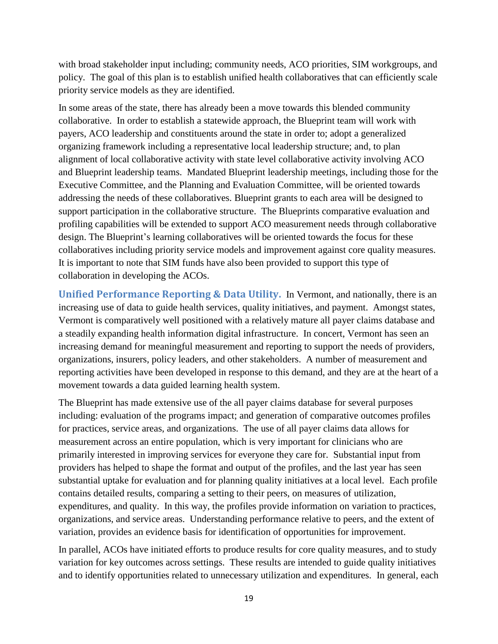with broad stakeholder input including; community needs, ACO priorities, SIM workgroups, and policy. The goal of this plan is to establish unified health collaboratives that can efficiently scale priority service models as they are identified.

In some areas of the state, there has already been a move towards this blended community collaborative. In order to establish a statewide approach, the Blueprint team will work with payers, ACO leadership and constituents around the state in order to; adopt a generalized organizing framework including a representative local leadership structure; and, to plan alignment of local collaborative activity with state level collaborative activity involving ACO and Blueprint leadership teams. Mandated Blueprint leadership meetings, including those for the Executive Committee, and the Planning and Evaluation Committee, will be oriented towards addressing the needs of these collaboratives. Blueprint grants to each area will be designed to support participation in the collaborative structure. The Blueprints comparative evaluation and profiling capabilities will be extended to support ACO measurement needs through collaborative design. The Blueprint's learning collaboratives will be oriented towards the focus for these collaboratives including priority service models and improvement against core quality measures. It is important to note that SIM funds have also been provided to support this type of collaboration in developing the ACOs.

<span id="page-19-0"></span>**Unified Performance Reporting & Data Utility.** In Vermont, and nationally, there is an increasing use of data to guide health services, quality initiatives, and payment. Amongst states, Vermont is comparatively well positioned with a relatively mature all payer claims database and a steadily expanding health information digital infrastructure. In concert, Vermont has seen an increasing demand for meaningful measurement and reporting to support the needs of providers, organizations, insurers, policy leaders, and other stakeholders. A number of measurement and reporting activities have been developed in response to this demand, and they are at the heart of a movement towards a data guided learning health system.

The Blueprint has made extensive use of the all payer claims database for several purposes including: evaluation of the programs impact; and generation of comparative outcomes profiles for practices, service areas, and organizations. The use of all payer claims data allows for measurement across an entire population, which is very important for clinicians who are primarily interested in improving services for everyone they care for. Substantial input from providers has helped to shape the format and output of the profiles, and the last year has seen substantial uptake for evaluation and for planning quality initiatives at a local level. Each profile contains detailed results, comparing a setting to their peers, on measures of utilization, expenditures, and quality. In this way, the profiles provide information on variation to practices, organizations, and service areas. Understanding performance relative to peers, and the extent of variation, provides an evidence basis for identification of opportunities for improvement.

In parallel, ACOs have initiated efforts to produce results for core quality measures, and to study variation for key outcomes across settings. These results are intended to guide quality initiatives and to identify opportunities related to unnecessary utilization and expenditures. In general, each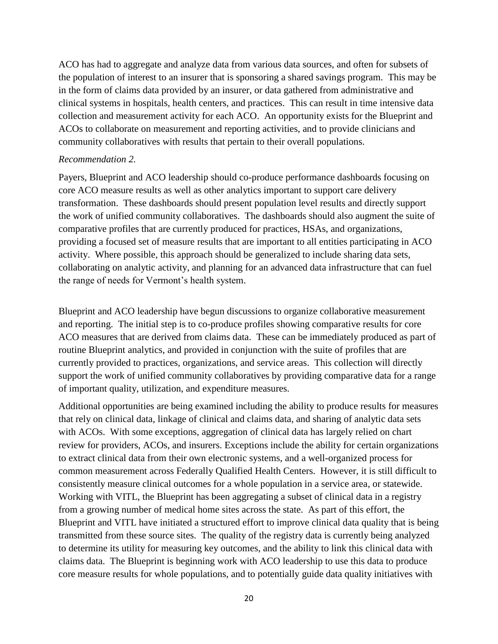ACO has had to aggregate and analyze data from various data sources, and often for subsets of the population of interest to an insurer that is sponsoring a shared savings program. This may be in the form of claims data provided by an insurer, or data gathered from administrative and clinical systems in hospitals, health centers, and practices. This can result in time intensive data collection and measurement activity for each ACO. An opportunity exists for the Blueprint and ACOs to collaborate on measurement and reporting activities, and to provide clinicians and community collaboratives with results that pertain to their overall populations.

#### *Recommendation 2.*

Payers, Blueprint and ACO leadership should co-produce performance dashboards focusing on core ACO measure results as well as other analytics important to support care delivery transformation. These dashboards should present population level results and directly support the work of unified community collaboratives. The dashboards should also augment the suite of comparative profiles that are currently produced for practices, HSAs, and organizations, providing a focused set of measure results that are important to all entities participating in ACO activity. Where possible, this approach should be generalized to include sharing data sets, collaborating on analytic activity, and planning for an advanced data infrastructure that can fuel the range of needs for Vermont's health system.

Blueprint and ACO leadership have begun discussions to organize collaborative measurement and reporting. The initial step is to co-produce profiles showing comparative results for core ACO measures that are derived from claims data. These can be immediately produced as part of routine Blueprint analytics, and provided in conjunction with the suite of profiles that are currently provided to practices, organizations, and service areas. This collection will directly support the work of unified community collaboratives by providing comparative data for a range of important quality, utilization, and expenditure measures.

Additional opportunities are being examined including the ability to produce results for measures that rely on clinical data, linkage of clinical and claims data, and sharing of analytic data sets with ACOs. With some exceptions, aggregation of clinical data has largely relied on chart review for providers, ACOs, and insurers. Exceptions include the ability for certain organizations to extract clinical data from their own electronic systems, and a well-organized process for common measurement across Federally Qualified Health Centers. However, it is still difficult to consistently measure clinical outcomes for a whole population in a service area, or statewide. Working with VITL, the Blueprint has been aggregating a subset of clinical data in a registry from a growing number of medical home sites across the state. As part of this effort, the Blueprint and VITL have initiated a structured effort to improve clinical data quality that is being transmitted from these source sites. The quality of the registry data is currently being analyzed to determine its utility for measuring key outcomes, and the ability to link this clinical data with claims data. The Blueprint is beginning work with ACO leadership to use this data to produce core measure results for whole populations, and to potentially guide data quality initiatives with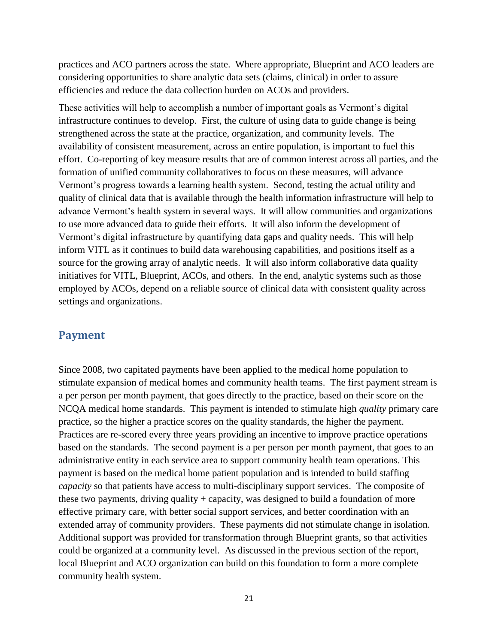practices and ACO partners across the state. Where appropriate, Blueprint and ACO leaders are considering opportunities to share analytic data sets (claims, clinical) in order to assure efficiencies and reduce the data collection burden on ACOs and providers.

These activities will help to accomplish a number of important goals as Vermont's digital infrastructure continues to develop. First, the culture of using data to guide change is being strengthened across the state at the practice, organization, and community levels. The availability of consistent measurement, across an entire population, is important to fuel this effort. Co-reporting of key measure results that are of common interest across all parties, and the formation of unified community collaboratives to focus on these measures, will advance Vermont's progress towards a learning health system. Second, testing the actual utility and quality of clinical data that is available through the health information infrastructure will help to advance Vermont's health system in several ways. It will allow communities and organizations to use more advanced data to guide their efforts. It will also inform the development of Vermont's digital infrastructure by quantifying data gaps and quality needs. This will help inform VITL as it continues to build data warehousing capabilities, and positions itself as a source for the growing array of analytic needs. It will also inform collaborative data quality initiatives for VITL, Blueprint, ACOs, and others. In the end, analytic systems such as those employed by ACOs, depend on a reliable source of clinical data with consistent quality across settings and organizations.

#### <span id="page-21-0"></span>**Payment**

Since 2008, two capitated payments have been applied to the medical home population to stimulate expansion of medical homes and community health teams. The first payment stream is a per person per month payment, that goes directly to the practice, based on their score on the NCQA medical home standards. This payment is intended to stimulate high *quality* primary care practice, so the higher a practice scores on the quality standards, the higher the payment. Practices are re-scored every three years providing an incentive to improve practice operations based on the standards. The second payment is a per person per month payment, that goes to an administrative entity in each service area to support community health team operations. This payment is based on the medical home patient population and is intended to build staffing *capacity* so that patients have access to multi-disciplinary support services. The composite of these two payments, driving quality + capacity, was designed to build a foundation of more effective primary care, with better social support services, and better coordination with an extended array of community providers. These payments did not stimulate change in isolation. Additional support was provided for transformation through Blueprint grants, so that activities could be organized at a community level. As discussed in the previous section of the report, local Blueprint and ACO organization can build on this foundation to form a more complete community health system.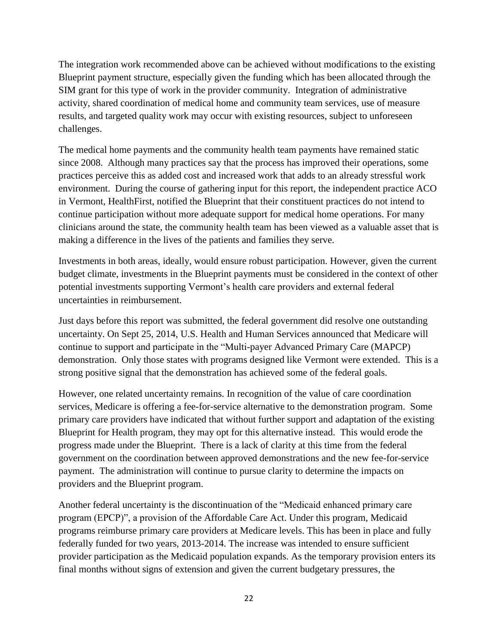The integration work recommended above can be achieved without modifications to the existing Blueprint payment structure, especially given the funding which has been allocated through the SIM grant for this type of work in the provider community. Integration of administrative activity, shared coordination of medical home and community team services, use of measure results, and targeted quality work may occur with existing resources, subject to unforeseen challenges.

The medical home payments and the community health team payments have remained static since 2008. Although many practices say that the process has improved their operations, some practices perceive this as added cost and increased work that adds to an already stressful work environment. During the course of gathering input for this report, the independent practice ACO in Vermont, HealthFirst, notified the Blueprint that their constituent practices do not intend to continue participation without more adequate support for medical home operations. For many clinicians around the state, the community health team has been viewed as a valuable asset that is making a difference in the lives of the patients and families they serve.

Investments in both areas, ideally, would ensure robust participation. However, given the current budget climate, investments in the Blueprint payments must be considered in the context of other potential investments supporting Vermont's health care providers and external federal uncertainties in reimbursement.

Just days before this report was submitted, the federal government did resolve one outstanding uncertainty. On Sept 25, 2014, U.S. Health and Human Services announced that Medicare will continue to support and participate in the "Multi-payer Advanced Primary Care (MAPCP) demonstration. Only those states with programs designed like Vermont were extended. This is a strong positive signal that the demonstration has achieved some of the federal goals.

However, one related uncertainty remains. In recognition of the value of care coordination services, Medicare is offering a fee-for-service alternative to the demonstration program. Some primary care providers have indicated that without further support and adaptation of the existing Blueprint for Health program, they may opt for this alternative instead. This would erode the progress made under the Blueprint. There is a lack of clarity at this time from the federal government on the coordination between approved demonstrations and the new fee-for-service payment. The administration will continue to pursue clarity to determine the impacts on providers and the Blueprint program.

Another federal uncertainty is the discontinuation of the "Medicaid enhanced primary care program (EPCP)", a provision of the Affordable Care Act. Under this program, Medicaid programs reimburse primary care providers at Medicare levels. This has been in place and fully federally funded for two years, 2013-2014. The increase was intended to ensure sufficient provider participation as the Medicaid population expands. As the temporary provision enters its final months without signs of extension and given the current budgetary pressures, the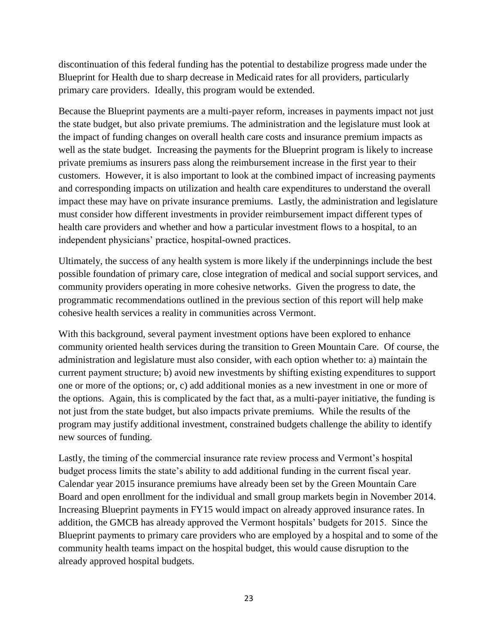discontinuation of this federal funding has the potential to destabilize progress made under the Blueprint for Health due to sharp decrease in Medicaid rates for all providers, particularly primary care providers. Ideally, this program would be extended.

Because the Blueprint payments are a multi-payer reform, increases in payments impact not just the state budget, but also private premiums. The administration and the legislature must look at the impact of funding changes on overall health care costs and insurance premium impacts as well as the state budget. Increasing the payments for the Blueprint program is likely to increase private premiums as insurers pass along the reimbursement increase in the first year to their customers. However, it is also important to look at the combined impact of increasing payments and corresponding impacts on utilization and health care expenditures to understand the overall impact these may have on private insurance premiums. Lastly, the administration and legislature must consider how different investments in provider reimbursement impact different types of health care providers and whether and how a particular investment flows to a hospital, to an independent physicians' practice, hospital-owned practices.

Ultimately, the success of any health system is more likely if the underpinnings include the best possible foundation of primary care, close integration of medical and social support services, and community providers operating in more cohesive networks. Given the progress to date, the programmatic recommendations outlined in the previous section of this report will help make cohesive health services a reality in communities across Vermont.

With this background, several payment investment options have been explored to enhance community oriented health services during the transition to Green Mountain Care. Of course, the administration and legislature must also consider, with each option whether to: a) maintain the current payment structure; b) avoid new investments by shifting existing expenditures to support one or more of the options; or, c) add additional monies as a new investment in one or more of the options. Again, this is complicated by the fact that, as a multi-payer initiative, the funding is not just from the state budget, but also impacts private premiums. While the results of the program may justify additional investment, constrained budgets challenge the ability to identify new sources of funding.

Lastly, the timing of the commercial insurance rate review process and Vermont's hospital budget process limits the state's ability to add additional funding in the current fiscal year. Calendar year 2015 insurance premiums have already been set by the Green Mountain Care Board and open enrollment for the individual and small group markets begin in November 2014. Increasing Blueprint payments in FY15 would impact on already approved insurance rates. In addition, the GMCB has already approved the Vermont hospitals' budgets for 2015. Since the Blueprint payments to primary care providers who are employed by a hospital and to some of the community health teams impact on the hospital budget, this would cause disruption to the already approved hospital budgets.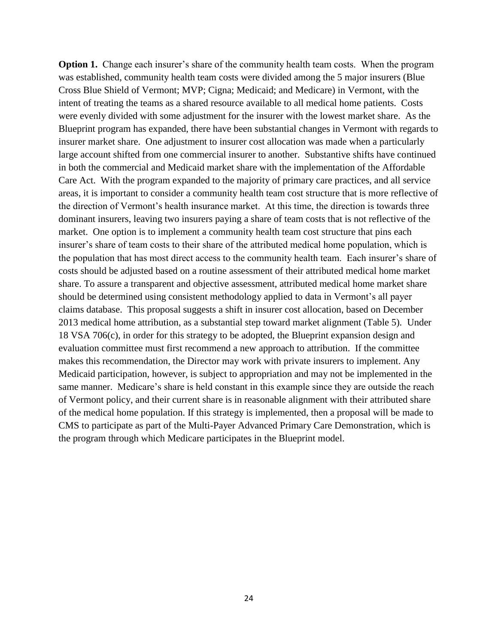**Option 1.** Change each insurer's share of the community health team costs. When the program was established, community health team costs were divided among the 5 major insurers (Blue Cross Blue Shield of Vermont; MVP; Cigna; Medicaid; and Medicare) in Vermont, with the intent of treating the teams as a shared resource available to all medical home patients. Costs were evenly divided with some adjustment for the insurer with the lowest market share. As the Blueprint program has expanded, there have been substantial changes in Vermont with regards to insurer market share. One adjustment to insurer cost allocation was made when a particularly large account shifted from one commercial insurer to another. Substantive shifts have continued in both the commercial and Medicaid market share with the implementation of the Affordable Care Act. With the program expanded to the majority of primary care practices, and all service areas, it is important to consider a community health team cost structure that is more reflective of the direction of Vermont's health insurance market. At this time, the direction is towards three dominant insurers, leaving two insurers paying a share of team costs that is not reflective of the market. One option is to implement a community health team cost structure that pins each insurer's share of team costs to their share of the attributed medical home population, which is the population that has most direct access to the community health team. Each insurer's share of costs should be adjusted based on a routine assessment of their attributed medical home market share. To assure a transparent and objective assessment, attributed medical home market share should be determined using consistent methodology applied to data in Vermont's all payer claims database. This proposal suggests a shift in insurer cost allocation, based on December 2013 medical home attribution, as a substantial step toward market alignment (Table 5). Under 18 VSA 706(c), in order for this strategy to be adopted, the Blueprint expansion design and evaluation committee must first recommend a new approach to attribution. If the committee makes this recommendation, the Director may work with private insurers to implement. Any Medicaid participation, however, is subject to appropriation and may not be implemented in the same manner. Medicare's share is held constant in this example since they are outside the reach of Vermont policy, and their current share is in reasonable alignment with their attributed share of the medical home population. If this strategy is implemented, then a proposal will be made to CMS to participate as part of the Multi-Payer Advanced Primary Care Demonstration, which is the program through which Medicare participates in the Blueprint model.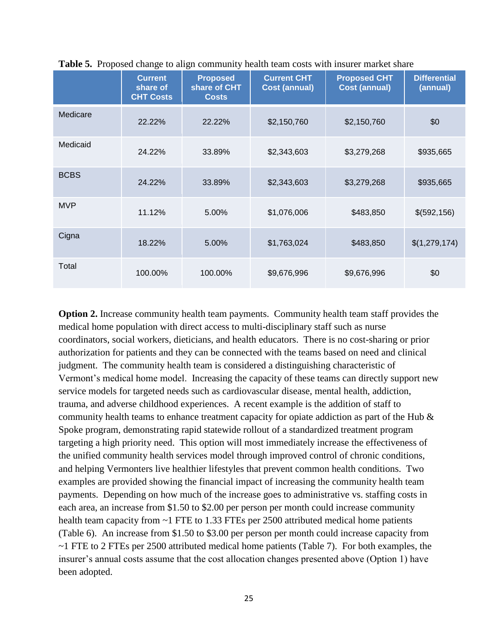| л.          | <b>Current</b><br>share of<br><b>CHT Costs</b> | <b>Proposed</b><br>share of CHT<br><b>Costs</b> | <b>Current CHT</b><br><b>Cost (annual)</b> | <b>Proposed CHT</b><br><b>Cost (annual)</b> | <b>Differential</b><br>(annual) |
|-------------|------------------------------------------------|-------------------------------------------------|--------------------------------------------|---------------------------------------------|---------------------------------|
| Medicare    | 22.22%                                         | 22.22%                                          | \$2,150,760                                | \$2,150,760                                 | \$0                             |
| Medicaid    | 24.22%                                         | 33.89%                                          | \$2,343,603                                | \$3,279,268                                 | \$935,665                       |
| <b>BCBS</b> | 24.22%                                         | 33.89%                                          | \$2,343,603                                | \$3,279,268                                 | \$935,665                       |
| <b>MVP</b>  | 11.12%                                         | 5.00%                                           | \$1,076,006                                | \$483,850                                   | \$(592, 156)                    |
| Cigna       | 18.22%                                         | 5.00%                                           | \$1,763,024                                | \$483,850                                   | \$(1,279,174)                   |
| Total       | 100.00%                                        | 100.00%                                         | \$9,676,996                                | \$9,676,996                                 | \$0                             |

**Table 5.** Proposed change to align community health team costs with insurer market share

**Option 2.** Increase community health team payments. Community health team staff provides the medical home population with direct access to multi-disciplinary staff such as nurse coordinators, social workers, dieticians, and health educators. There is no cost-sharing or prior authorization for patients and they can be connected with the teams based on need and clinical judgment. The community health team is considered a distinguishing characteristic of Vermont's medical home model. Increasing the capacity of these teams can directly support new service models for targeted needs such as cardiovascular disease, mental health, addiction, trauma, and adverse childhood experiences. A recent example is the addition of staff to community health teams to enhance treatment capacity for opiate addiction as part of the Hub & Spoke program, demonstrating rapid statewide rollout of a standardized treatment program targeting a high priority need. This option will most immediately increase the effectiveness of the unified community health services model through improved control of chronic conditions, and helping Vermonters live healthier lifestyles that prevent common health conditions. Two examples are provided showing the financial impact of increasing the community health team payments. Depending on how much of the increase goes to administrative vs. staffing costs in each area, an increase from \$1.50 to \$2.00 per person per month could increase community health team capacity from ~1 FTE to 1.33 FTEs per 2500 attributed medical home patients (Table 6). An increase from \$1.50 to \$3.00 per person per month could increase capacity from ~1 FTE to 2 FTEs per 2500 attributed medical home patients (Table 7). For both examples, the insurer's annual costs assume that the cost allocation changes presented above (Option 1) have been adopted.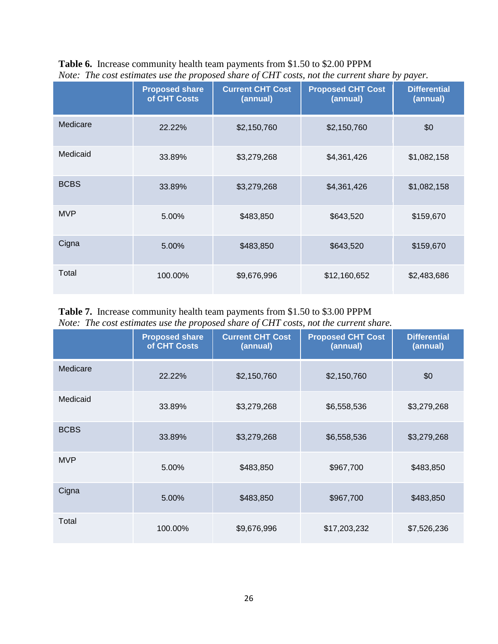|             | Tion. The cost estimates all the proposed share of CIII costs, not the carrent share by payer. |                                     |                                      |                                 |  |  |  |
|-------------|------------------------------------------------------------------------------------------------|-------------------------------------|--------------------------------------|---------------------------------|--|--|--|
|             | <b>Proposed share</b><br>of CHT Costs                                                          | <b>Current CHT Cost</b><br>(annual) | <b>Proposed CHT Cost</b><br>(annual) | <b>Differential</b><br>(annual) |  |  |  |
| Medicare    | 22.22%                                                                                         | \$2,150,760                         | \$2,150,760                          | \$0                             |  |  |  |
| Medicaid    | 33.89%                                                                                         | \$3,279,268                         | \$4,361,426                          | \$1,082,158                     |  |  |  |
| <b>BCBS</b> | 33.89%                                                                                         | \$3,279,268                         | \$4,361,426                          | \$1,082,158                     |  |  |  |
| <b>MVP</b>  | 5.00%                                                                                          | \$483,850                           | \$643,520                            | \$159,670                       |  |  |  |
| Cigna       | 5.00%                                                                                          | \$483,850                           | \$643,520                            | \$159,670                       |  |  |  |
| Total       | 100.00%                                                                                        | \$9,676,996                         | \$12,160,652                         | \$2,483,686                     |  |  |  |

## **Table 6.** Increase community health team payments from \$1.50 to \$2.00 PPPM *Note: The cost estimates use the proposed share of CHT costs, not the current share by payer.*

## **Table 7.** Increase community health team payments from \$1.50 to \$3.00 PPPM *Note: The cost estimates use the proposed share of CHT costs, not the current share.*

|             | <b>Proposed share</b><br>of CHT Costs | <b>Current CHT Cost</b><br>(annual) | <b>Proposed CHT Cost</b><br>(annual) | <b>Differential</b><br>(annual) |
|-------------|---------------------------------------|-------------------------------------|--------------------------------------|---------------------------------|
| Medicare    | 22.22%                                | \$2,150,760                         | \$2,150,760                          | \$0                             |
| Medicaid    | 33.89%                                | \$3,279,268                         | \$6,558,536                          | \$3,279,268                     |
| <b>BCBS</b> | 33.89%                                | \$3,279,268                         | \$6,558,536                          | \$3,279,268                     |
| <b>MVP</b>  | 5.00%                                 | \$483,850                           | \$967,700                            | \$483,850                       |
| Cigna       | 5.00%                                 | \$483,850                           | \$967,700                            | \$483,850                       |
| Total       | 100.00%                               | \$9,676,996                         | \$17,203,232                         | \$7,526,236                     |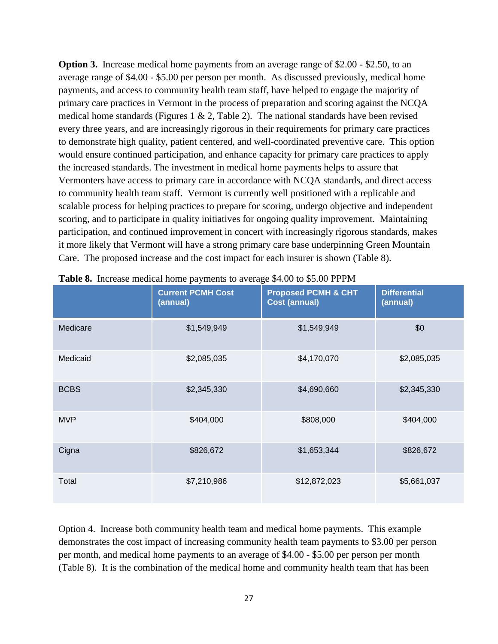**Option 3.** Increase medical home payments from an average range of \$2.00 - \$2.50, to an average range of \$4.00 - \$5.00 per person per month. As discussed previously, medical home payments, and access to community health team staff, have helped to engage the majority of primary care practices in Vermont in the process of preparation and scoring against the NCQA medical home standards (Figures 1  $\&$  2, Table 2). The national standards have been revised every three years, and are increasingly rigorous in their requirements for primary care practices to demonstrate high quality, patient centered, and well-coordinated preventive care. This option would ensure continued participation, and enhance capacity for primary care practices to apply the increased standards. The investment in medical home payments helps to assure that Vermonters have access to primary care in accordance with NCQA standards, and direct access to community health team staff. Vermont is currently well positioned with a replicable and scalable process for helping practices to prepare for scoring, undergo objective and independent scoring, and to participate in quality initiatives for ongoing quality improvement. Maintaining participation, and continued improvement in concert with increasingly rigorous standards, makes it more likely that Vermont will have a strong primary care base underpinning Green Mountain Care. The proposed increase and the cost impact for each insurer is shown (Table 8).

|             | <b>Current PCMH Cost</b><br>(annual) | <b>Proposed PCMH &amp; CHT</b><br><b>Cost (annual)</b> | <b>Differential</b><br>(annual) |
|-------------|--------------------------------------|--------------------------------------------------------|---------------------------------|
| Medicare    | \$1,549,949                          | \$1,549,949                                            | \$0                             |
| Medicaid    | \$2,085,035                          | \$4,170,070                                            | \$2,085,035                     |
| <b>BCBS</b> | \$2,345,330                          | \$4,690,660                                            | \$2,345,330                     |
| <b>MVP</b>  | \$404,000                            | \$808,000                                              | \$404,000                       |
| Cigna       | \$826,672                            | \$1,653,344                                            | \$826,672                       |
| Total       | \$7,210,986                          | \$12,872,023                                           | \$5,661,037                     |

**Table 8.** Increase medical home payments to average \$4.00 to \$5.00 PPPM

Option 4. Increase both community health team and medical home payments. This example demonstrates the cost impact of increasing community health team payments to \$3.00 per person per month, and medical home payments to an average of \$4.00 - \$5.00 per person per month (Table 8). It is the combination of the medical home and community health team that has been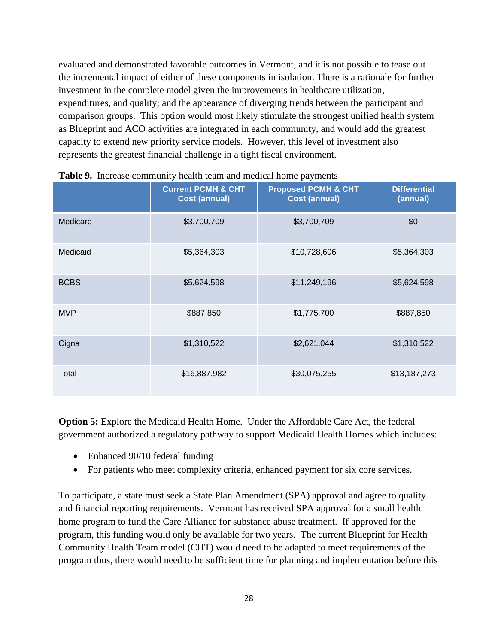evaluated and demonstrated favorable outcomes in Vermont, and it is not possible to tease out the incremental impact of either of these components in isolation. There is a rationale for further investment in the complete model given the improvements in healthcare utilization, expenditures, and quality; and the appearance of diverging trends between the participant and comparison groups. This option would most likely stimulate the strongest unified health system as Blueprint and ACO activities are integrated in each community, and would add the greatest capacity to extend new priority service models. However, this level of investment also represents the greatest financial challenge in a tight fiscal environment.

|             | <b>Current PCMH &amp; CHT</b><br><b>Cost (annual)</b> | <b>Proposed PCMH &amp; CHT</b><br><b>Cost (annual)</b> | <b>Differential</b><br>(annual) |
|-------------|-------------------------------------------------------|--------------------------------------------------------|---------------------------------|
| Medicare    | \$3,700,709                                           | \$3,700,709                                            | \$0                             |
| Medicaid    | \$5,364,303                                           | \$10,728,606                                           | \$5,364,303                     |
| <b>BCBS</b> | \$5,624,598                                           | \$11,249,196                                           | \$5,624,598                     |
| <b>MVP</b>  | \$887,850                                             | \$1,775,700                                            | \$887,850                       |
| Cigna       | \$1,310,522                                           | \$2,621,044                                            | \$1,310,522                     |
| Total       | \$16,887,982                                          | \$30,075,255                                           | \$13,187,273                    |

|  | Table 9. Increase community health team and medical home payments |  |  |  |
|--|-------------------------------------------------------------------|--|--|--|
|--|-------------------------------------------------------------------|--|--|--|

**Option 5:** Explore the Medicaid Health Home.Under the Affordable Care Act, the federal government authorized a regulatory pathway to support Medicaid Health Homes which includes:

- Enhanced 90/10 federal funding
- For patients who meet complexity criteria, enhanced payment for six core services.

To participate, a state must seek a State Plan Amendment (SPA) approval and agree to quality and financial reporting requirements. Vermont has received SPA approval for a small health home program to fund the Care Alliance for substance abuse treatment. If approved for the program, this funding would only be available for two years. The current Blueprint for Health Community Health Team model (CHT) would need to be adapted to meet requirements of the program thus, there would need to be sufficient time for planning and implementation before this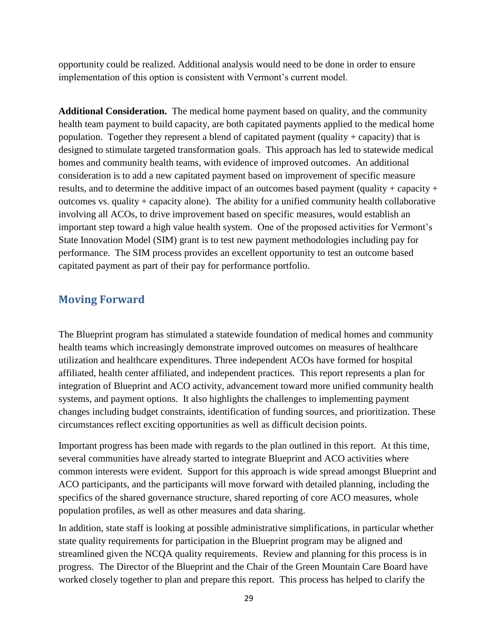opportunity could be realized. Additional analysis would need to be done in order to ensure implementation of this option is consistent with Vermont's current model.

**Additional Consideration.** The medical home payment based on quality, and the community health team payment to build capacity, are both capitated payments applied to the medical home population. Together they represent a blend of capitated payment (quality + capacity) that is designed to stimulate targeted transformation goals. This approach has led to statewide medical homes and community health teams, with evidence of improved outcomes. An additional consideration is to add a new capitated payment based on improvement of specific measure results, and to determine the additive impact of an outcomes based payment (quality + capacity + outcomes vs. quality + capacity alone). The ability for a unified community health collaborative involving all ACOs, to drive improvement based on specific measures, would establish an important step toward a high value health system. One of the proposed activities for Vermont's State Innovation Model (SIM) grant is to test new payment methodologies including pay for performance. The SIM process provides an excellent opportunity to test an outcome based capitated payment as part of their pay for performance portfolio.

## <span id="page-29-0"></span>**Moving Forward**

The Blueprint program has stimulated a statewide foundation of medical homes and community health teams which increasingly demonstrate improved outcomes on measures of healthcare utilization and healthcare expenditures. Three independent ACOs have formed for hospital affiliated, health center affiliated, and independent practices. This report represents a plan for integration of Blueprint and ACO activity, advancement toward more unified community health systems, and payment options. It also highlights the challenges to implementing payment changes including budget constraints, identification of funding sources, and prioritization. These circumstances reflect exciting opportunities as well as difficult decision points.

Important progress has been made with regards to the plan outlined in this report. At this time, several communities have already started to integrate Blueprint and ACO activities where common interests were evident. Support for this approach is wide spread amongst Blueprint and ACO participants, and the participants will move forward with detailed planning, including the specifics of the shared governance structure, shared reporting of core ACO measures, whole population profiles, as well as other measures and data sharing.

In addition, state staff is looking at possible administrative simplifications, in particular whether state quality requirements for participation in the Blueprint program may be aligned and streamlined given the NCQA quality requirements. Review and planning for this process is in progress. The Director of the Blueprint and the Chair of the Green Mountain Care Board have worked closely together to plan and prepare this report. This process has helped to clarify the